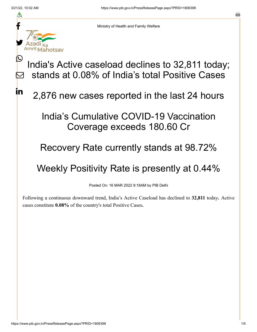f

≛

y.

<u>IS</u>

<u>in</u>



India's Active caseload declines to 32,811 today; stands at 0.08% of India's total Positive Cases  $\bm{\nabla}$ 

2,876 new cases reported in the last 24 hours

## India's Cumulative COVID-19 Vaccination Coverage exceeds 180.60 Cr

## Recovery Rate currently stands at 98.72%

## Weekly Positivity Rate is presently at 0.44%

Posted On: 16 MAR 2022 9:18AM by PIB Delhi

Following a continuous downward trend, India's Active Caseload has declined to **32,811** today**.** Active cases constitute **0.08%** of the country's total Positive Cases**.**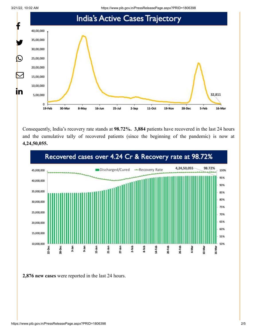3/21/22, 10:02 AM https://www.pib.gov.in/PressReleasePage.aspx?PRID=1806398



Consequently, India's recovery rate stands at **98.72%. 3,884** patients have recovered in the last 24 hours and the cumulative tally of recovered patients (since the beginning of the pandemic) is now at **4,24,50,055.**



**2,876 new cases** were reported in the last 24 hours.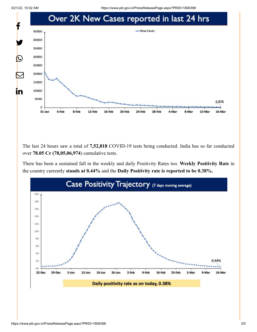3/21/22, 10:02 AM https://www.pib.gov.in/PressReleasePage.aspx?PRID=1806398



The last 24 hours saw a total of **7,52,818** COVID-19 tests being conducted. India has so far conducted over **78.05 Cr (78,05,06,974**) cumulative tests.

There has been a sustained fall in the weekly and daily Positivity Rates too. **Weekly Positivity Rate** in the country currently **stands at 0.44%** and the **Daily Positivity rate is reported to be 0.38%.**

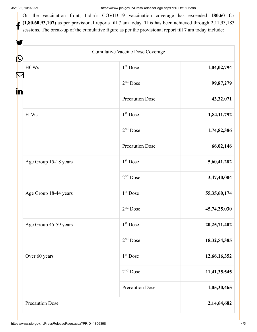W.

On the vaccination front, India's COVID-19 vaccination coverage has exceeded **180.60 Cr**  $(1,80,60,93,107)$  as per provisional reports till 7 am today. This has been achieved through 2,11,93,183 sessions. The break-up of the cumulative figure as per the provisional report till 7 am today include:

| Cumulative Vaccine Dose Coverage<br>$\bf \Omega$              |                        |                 |
|---------------------------------------------------------------|------------------------|-----------------|
| <b>HCWs</b>                                                   | $1st$ Dose             | 1,04,02,794     |
|                                                               | $2nd$ Dose             | 99,87,279       |
|                                                               | <b>Precaution Dose</b> | 43,32,071       |
| <b>FLWs</b><br>Age Group 15-18 years<br>Age Group 18-44 years | $1st$ Dose             | 1,84,11,792     |
|                                                               | $2nd$ Dose             | 1,74,82,386     |
|                                                               | <b>Precaution Dose</b> | 66,02,146       |
|                                                               | 1 <sup>st</sup> Dose   | 5,60,41,282     |
|                                                               | $2nd$ Dose             | 3,47,40,004     |
|                                                               | 1 <sup>st</sup> Dose   | 55,35,60,174    |
|                                                               | $2nd$ Dose             | 45,74,25,030    |
| Age Group 45-59 years                                         | $1st$ Dose             | 20,25,71,402    |
|                                                               | $2nd$ Dose             | 18, 32, 54, 385 |
| Over 60 years                                                 | 1 <sup>st</sup> Dose   | 12,66,16,352    |
|                                                               | $2nd$ Dose             | 11,41,35,545    |
|                                                               | <b>Precaution Dose</b> | 1,05,30,465     |
| Precaution Dose                                               |                        | 2,14,64,682     |